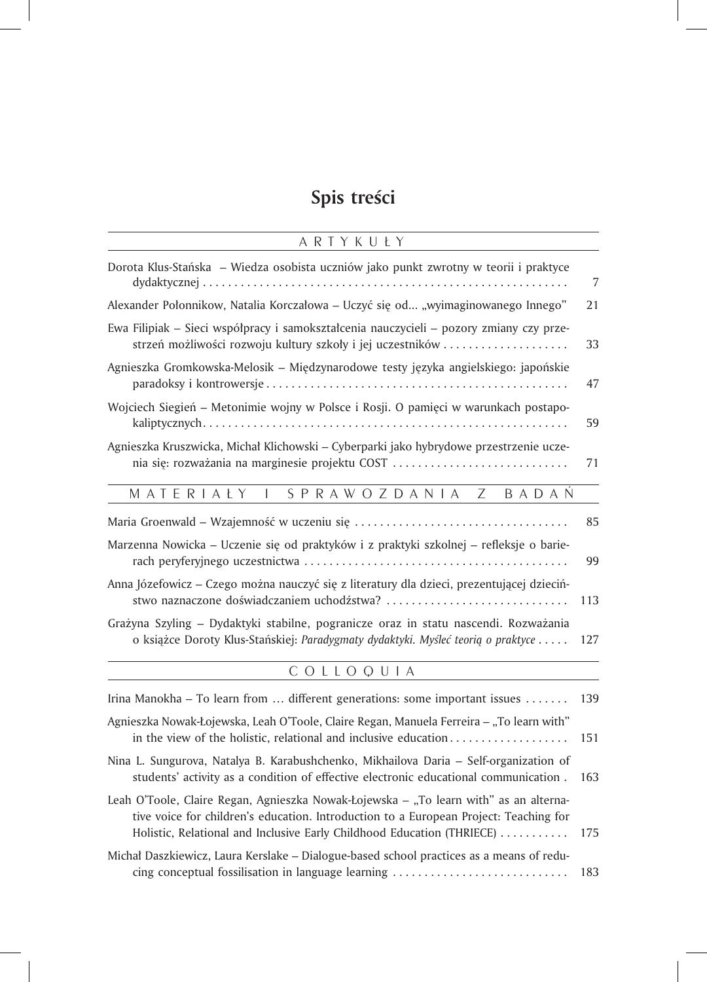## **Spis treści**

| ARTYKUŁY                                                                                                                                                                                                                                                 |     |
|----------------------------------------------------------------------------------------------------------------------------------------------------------------------------------------------------------------------------------------------------------|-----|
| Dorota Klus-Stańska - Wiedza osobista uczniów jako punkt zwrotny w teorii i praktyce                                                                                                                                                                     | 7   |
| Alexander Połonnikow, Natalia Korczałowa – Uczyć się od "wyimaginowanego Innego"                                                                                                                                                                         | 21  |
| Ewa Filipiak - Sieci współpracy i samokształcenia nauczycieli - pozory zmiany czy prze-<br>strzeń możliwości rozwoju kultury szkoły i jej uczestników                                                                                                    | 33  |
| Agnieszka Gromkowska-Melosik – Międzynarodowe testy języka angielskiego: japońskie                                                                                                                                                                       | 47  |
| Wojciech Siegień – Metonimie wojny w Polsce i Rosji. O pamięci w warunkach postapo-                                                                                                                                                                      | 59  |
| Agnieszka Kruszwicka, Michał Klichowski - Cyberparki jako hybrydowe przestrzenie ucze-<br>nia się: rozważania na marginesie projektu COST                                                                                                                | 71  |
| MATERIAŁY<br>SPRAWOZDANIA Z<br>$\mathbf{I}$<br>BADAN                                                                                                                                                                                                     |     |
|                                                                                                                                                                                                                                                          | 85  |
| Marzenna Nowicka - Uczenie się od praktyków i z praktyki szkolnej - refleksje o barie-                                                                                                                                                                   | 99  |
| Anna Józefowicz - Czego można nauczyć się z literatury dla dzieci, prezentującej dzieciń-<br>stwo naznaczone doświadczaniem uchodźstwa?                                                                                                                  | 113 |
| Grażyna Szyling – Dydaktyki stabilne, pogranicze oraz in statu nascendi. Rozważania<br>o książce Doroty Klus-Stańskiej: Paradygmaty dydaktyki. Myśleć teorią o praktyce                                                                                  | 127 |
| COLLOQUIA                                                                                                                                                                                                                                                |     |
| Irina Manokha - To learn from  different generations: some important issues                                                                                                                                                                              | 139 |
| Agnieszka Nowak-Łojewska, Leah O'Toole, Claire Regan, Manuela Ferreira – "To learn with"<br>in the view of the holistic, relational and inclusive education                                                                                              | 151 |
| Nina L. Sungurova, Natalya B. Karabushchenko, Mikhailova Daria – Self-organization of<br>students' activity as a condition of effective electronic educational communication.                                                                            | 163 |
| Leah O'Toole, Claire Regan, Agnieszka Nowak-Łojewska - "To learn with" as an alterna-<br>tive voice for children's education. Introduction to a European Project: Teaching for<br>Holistic, Relational and Inclusive Early Childhood Education (THRIECE) | 175 |

Michał Daszkiewicz, Laura Kerslake – Dialogue-based school practices as a means of reducing conceptual fossilisation in language learning . . . . . . . . . . . . . . . . . . . . . . . . . . . . 183